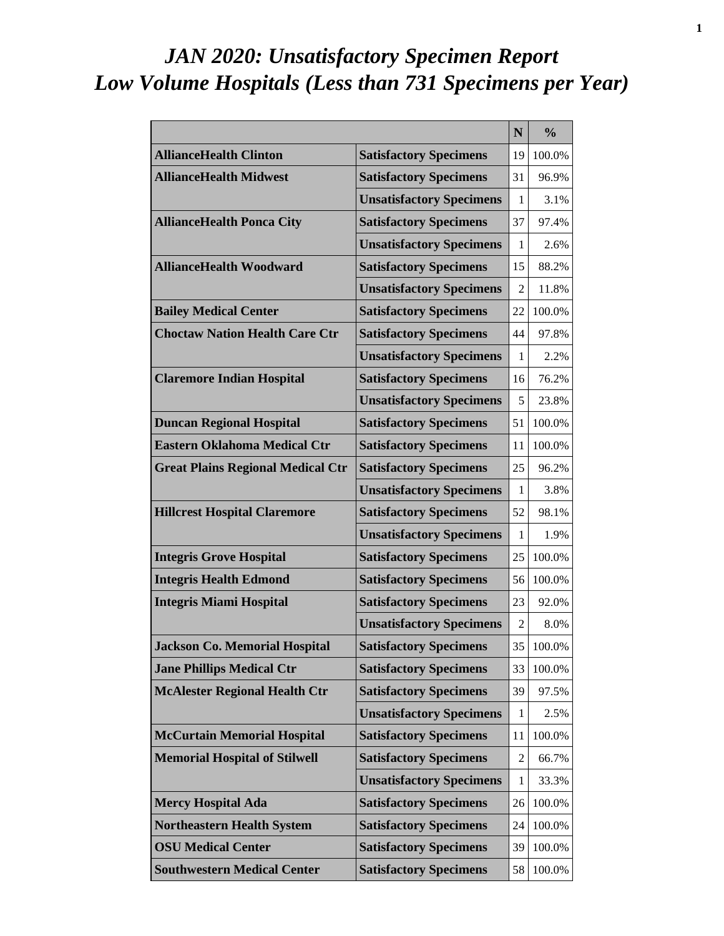# *JAN 2020: Unsatisfactory Specimen Report Low Volume Hospitals (Less than 731 Specimens per Year)*

|                                          |                                 | N              | $\frac{0}{0}$ |
|------------------------------------------|---------------------------------|----------------|---------------|
| <b>AllianceHealth Clinton</b>            | <b>Satisfactory Specimens</b>   | 19             | 100.0%        |
| <b>AllianceHealth Midwest</b>            | <b>Satisfactory Specimens</b>   | 31             | 96.9%         |
|                                          | <b>Unsatisfactory Specimens</b> | 1              | 3.1%          |
| <b>AllianceHealth Ponca City</b>         | <b>Satisfactory Specimens</b>   | 37             | 97.4%         |
|                                          | <b>Unsatisfactory Specimens</b> | 1              | 2.6%          |
| <b>AllianceHealth Woodward</b>           | <b>Satisfactory Specimens</b>   | 15             | 88.2%         |
|                                          | <b>Unsatisfactory Specimens</b> | 2              | 11.8%         |
| <b>Bailey Medical Center</b>             | <b>Satisfactory Specimens</b>   | 22             | 100.0%        |
| <b>Choctaw Nation Health Care Ctr</b>    | <b>Satisfactory Specimens</b>   | 44             | 97.8%         |
|                                          | <b>Unsatisfactory Specimens</b> | 1              | 2.2%          |
| <b>Claremore Indian Hospital</b>         | <b>Satisfactory Specimens</b>   | 16             | 76.2%         |
|                                          | <b>Unsatisfactory Specimens</b> | 5              | 23.8%         |
| <b>Duncan Regional Hospital</b>          | <b>Satisfactory Specimens</b>   | 51             | 100.0%        |
| <b>Eastern Oklahoma Medical Ctr</b>      | <b>Satisfactory Specimens</b>   | 11             | 100.0%        |
| <b>Great Plains Regional Medical Ctr</b> | <b>Satisfactory Specimens</b>   | 25             | 96.2%         |
|                                          | <b>Unsatisfactory Specimens</b> | 1              | 3.8%          |
| <b>Hillcrest Hospital Claremore</b>      | <b>Satisfactory Specimens</b>   | 52             | 98.1%         |
|                                          | <b>Unsatisfactory Specimens</b> | 1              | 1.9%          |
| <b>Integris Grove Hospital</b>           | <b>Satisfactory Specimens</b>   | 25             | 100.0%        |
| <b>Integris Health Edmond</b>            | <b>Satisfactory Specimens</b>   | 56             | 100.0%        |
| <b>Integris Miami Hospital</b>           | <b>Satisfactory Specimens</b>   | 23             | 92.0%         |
|                                          | <b>Unsatisfactory Specimens</b> | 2              | 8.0%          |
| <b>Jackson Co. Memorial Hospital</b>     | <b>Satisfactory Specimens</b>   | 35             | 100.0%        |
| <b>Jane Phillips Medical Ctr</b>         | <b>Satisfactory Specimens</b>   | 33             | 100.0%        |
| <b>McAlester Regional Health Ctr</b>     | <b>Satisfactory Specimens</b>   | 39             | 97.5%         |
|                                          | <b>Unsatisfactory Specimens</b> | 1              | 2.5%          |
| <b>McCurtain Memorial Hospital</b>       | <b>Satisfactory Specimens</b>   | 11             | 100.0%        |
| <b>Memorial Hospital of Stilwell</b>     | <b>Satisfactory Specimens</b>   | $\overline{2}$ | 66.7%         |
|                                          | <b>Unsatisfactory Specimens</b> | $\mathbf 1$    | 33.3%         |
| <b>Mercy Hospital Ada</b>                | <b>Satisfactory Specimens</b>   | 26             | 100.0%        |
| <b>Northeastern Health System</b>        | <b>Satisfactory Specimens</b>   | 24             | 100.0%        |
| <b>OSU Medical Center</b>                | <b>Satisfactory Specimens</b>   | 39             | 100.0%        |
| <b>Southwestern Medical Center</b>       | <b>Satisfactory Specimens</b>   | 58             | 100.0%        |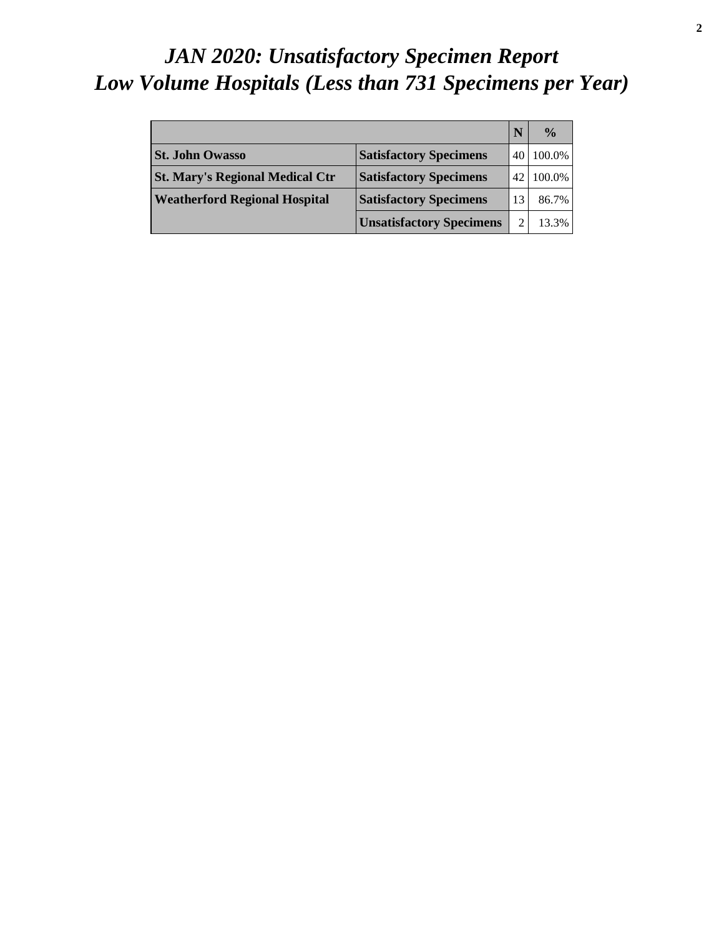# *JAN 2020: Unsatisfactory Specimen Report Low Volume Hospitals (Less than 731 Specimens per Year)*

|                                        |                                 |     | $\frac{0}{0}$ |
|----------------------------------------|---------------------------------|-----|---------------|
| <b>St. John Owasso</b>                 | <b>Satisfactory Specimens</b>   |     | 100.0%        |
| <b>St. Mary's Regional Medical Ctr</b> | <b>Satisfactory Specimens</b>   | 42. | 100.0%        |
| <b>Weatherford Regional Hospital</b>   | <b>Satisfactory Specimens</b>   |     | 86.7%         |
|                                        | <b>Unsatisfactory Specimens</b> |     | 13.3%         |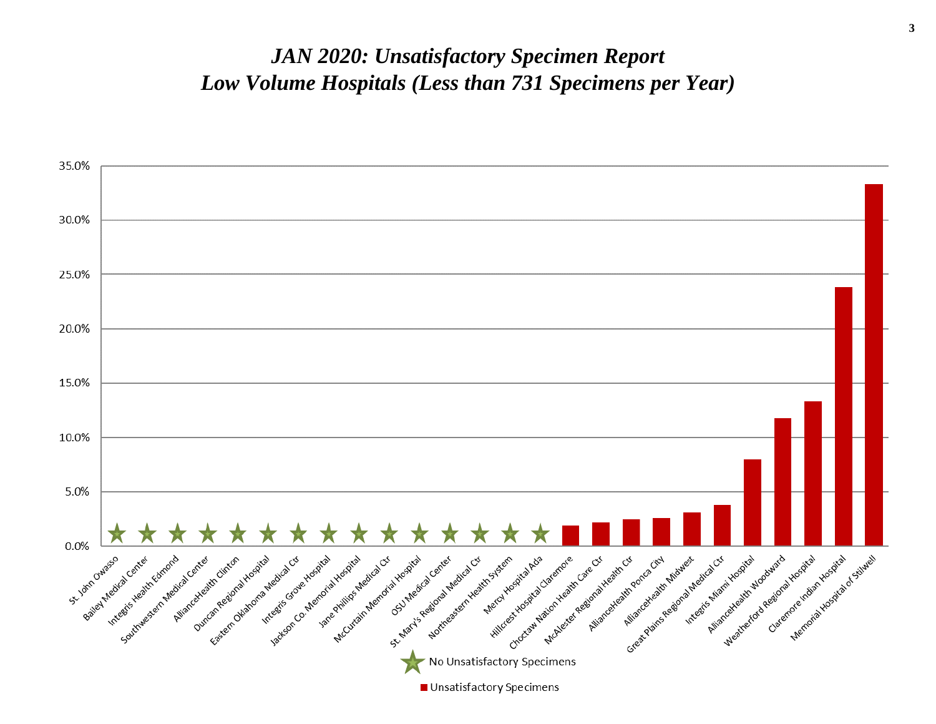#### *JAN 2020: Unsatisfactory Specimen Report Low Volume Hospitals (Less than 731 Specimens per Year)*

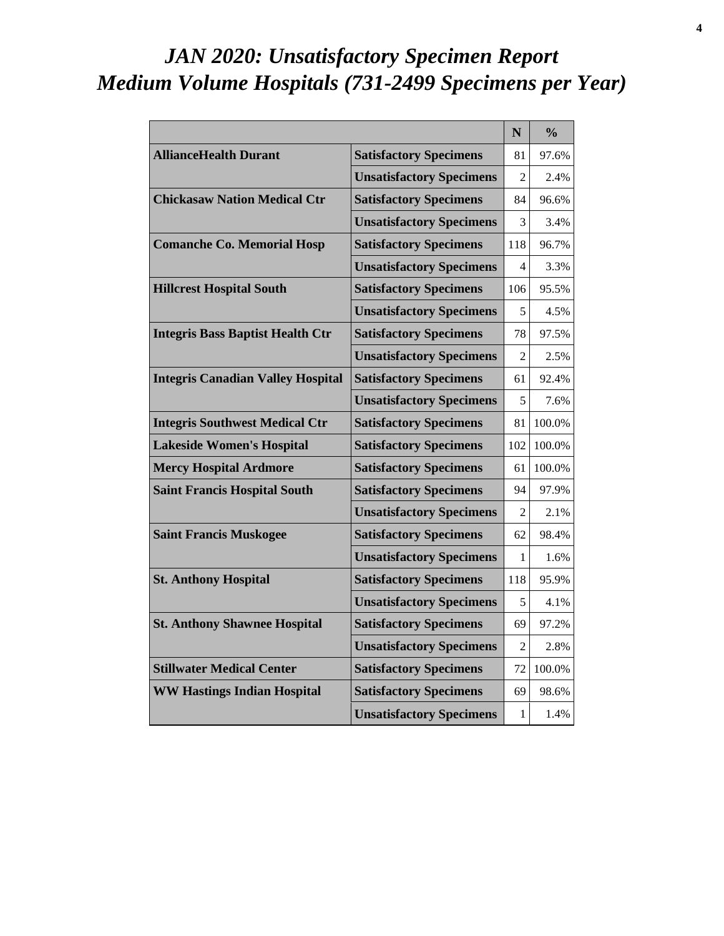# *JAN 2020: Unsatisfactory Specimen Report Medium Volume Hospitals (731-2499 Specimens per Year)*

|                                          |                                 | N              | $\frac{6}{6}$ |
|------------------------------------------|---------------------------------|----------------|---------------|
| <b>AllianceHealth Durant</b>             | <b>Satisfactory Specimens</b>   | 81             | 97.6%         |
|                                          | <b>Unsatisfactory Specimens</b> | $\mathfrak{D}$ | 2.4%          |
| <b>Chickasaw Nation Medical Ctr</b>      | <b>Satisfactory Specimens</b>   | 84             | 96.6%         |
|                                          | <b>Unsatisfactory Specimens</b> | 3              | 3.4%          |
| <b>Comanche Co. Memorial Hosp</b>        | <b>Satisfactory Specimens</b>   | 118            | 96.7%         |
|                                          | <b>Unsatisfactory Specimens</b> | 4              | 3.3%          |
| <b>Hillcrest Hospital South</b>          | <b>Satisfactory Specimens</b>   | 106            | 95.5%         |
|                                          | <b>Unsatisfactory Specimens</b> | 5              | 4.5%          |
| <b>Integris Bass Baptist Health Ctr</b>  | <b>Satisfactory Specimens</b>   | 78             | 97.5%         |
|                                          | <b>Unsatisfactory Specimens</b> | $\mathfrak{D}$ | 2.5%          |
| <b>Integris Canadian Valley Hospital</b> | <b>Satisfactory Specimens</b>   | 61             | 92.4%         |
|                                          | <b>Unsatisfactory Specimens</b> | 5              | 7.6%          |
| <b>Integris Southwest Medical Ctr</b>    | <b>Satisfactory Specimens</b>   | 81             | 100.0%        |
| <b>Lakeside Women's Hospital</b>         | <b>Satisfactory Specimens</b>   | 102            | 100.0%        |
| <b>Mercy Hospital Ardmore</b>            | <b>Satisfactory Specimens</b>   | 61             | 100.0%        |
| <b>Saint Francis Hospital South</b>      | <b>Satisfactory Specimens</b>   | 94             | 97.9%         |
|                                          | <b>Unsatisfactory Specimens</b> | $\mathfrak{D}$ | 2.1%          |
| <b>Saint Francis Muskogee</b>            | <b>Satisfactory Specimens</b>   | 62             | 98.4%         |
|                                          | <b>Unsatisfactory Specimens</b> | 1              | 1.6%          |
| <b>St. Anthony Hospital</b>              | <b>Satisfactory Specimens</b>   | 118            | 95.9%         |
|                                          | <b>Unsatisfactory Specimens</b> | 5              | 4.1%          |
| <b>St. Anthony Shawnee Hospital</b>      | <b>Satisfactory Specimens</b>   | 69             | 97.2%         |
|                                          | <b>Unsatisfactory Specimens</b> | $\mathfrak{D}$ | 2.8%          |
| <b>Stillwater Medical Center</b>         | <b>Satisfactory Specimens</b>   | 72             | 100.0%        |
| <b>WW Hastings Indian Hospital</b>       | <b>Satisfactory Specimens</b>   | 69             | 98.6%         |
|                                          | <b>Unsatisfactory Specimens</b> | 1              | 1.4%          |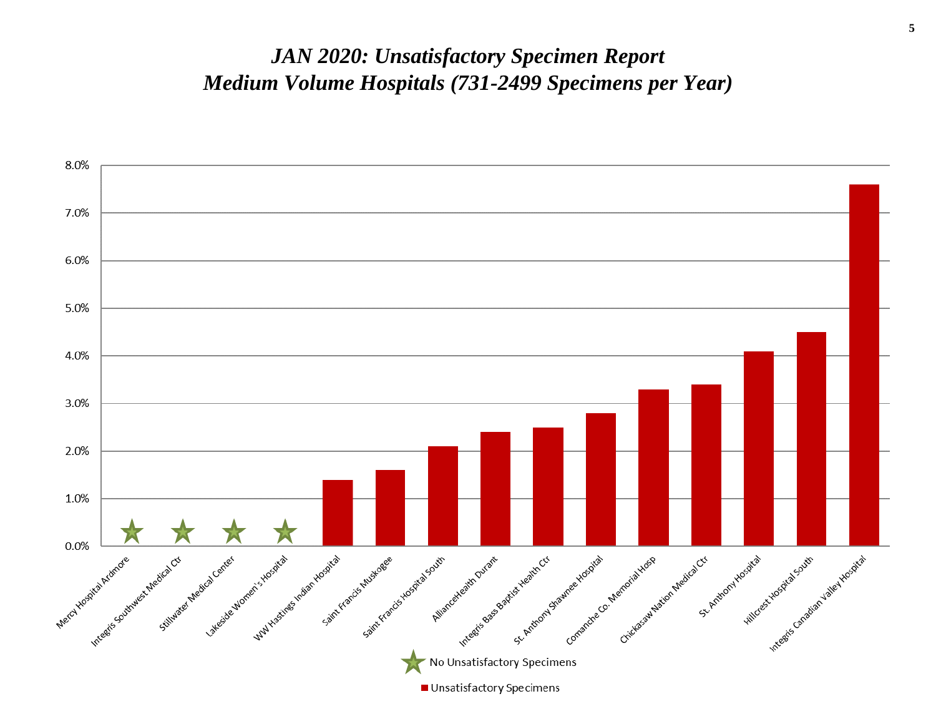#### *JAN 2020: Unsatisfactory Specimen Report Medium Volume Hospitals (731-2499 Specimens per Year)*

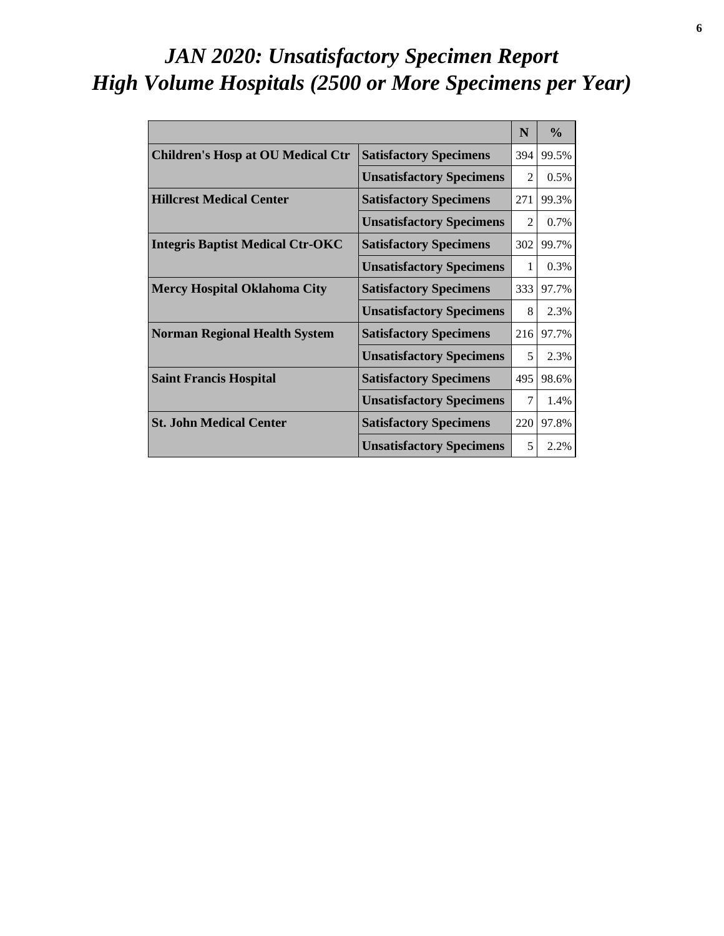# *JAN 2020: Unsatisfactory Specimen Report High Volume Hospitals (2500 or More Specimens per Year)*

|                                          |                                 | N                           | $\frac{0}{0}$ |
|------------------------------------------|---------------------------------|-----------------------------|---------------|
| <b>Children's Hosp at OU Medical Ctr</b> | <b>Satisfactory Specimens</b>   | 394                         | 99.5%         |
|                                          | <b>Unsatisfactory Specimens</b> | $\mathcal{D}_{\mathcal{L}}$ | 0.5%          |
| <b>Hillcrest Medical Center</b>          | <b>Satisfactory Specimens</b>   | 271                         | 99.3%         |
|                                          | <b>Unsatisfactory Specimens</b> | $\mathfrak{D}$              | 0.7%          |
| <b>Integris Baptist Medical Ctr-OKC</b>  | <b>Satisfactory Specimens</b>   | 302                         | 99.7%         |
|                                          | <b>Unsatisfactory Specimens</b> | 1                           | 0.3%          |
| <b>Mercy Hospital Oklahoma City</b>      | <b>Satisfactory Specimens</b>   | 333                         | 97.7%         |
|                                          | <b>Unsatisfactory Specimens</b> | 8                           | 2.3%          |
| <b>Norman Regional Health System</b>     | <b>Satisfactory Specimens</b>   | 216                         | 97.7%         |
|                                          | <b>Unsatisfactory Specimens</b> | 5                           | 2.3%          |
| <b>Saint Francis Hospital</b>            | <b>Satisfactory Specimens</b>   | 495                         | 98.6%         |
|                                          | <b>Unsatisfactory Specimens</b> | 7                           | 1.4%          |
| <b>St. John Medical Center</b>           | <b>Satisfactory Specimens</b>   | 220                         | 97.8%         |
|                                          | <b>Unsatisfactory Specimens</b> | 5                           | 2.2%          |